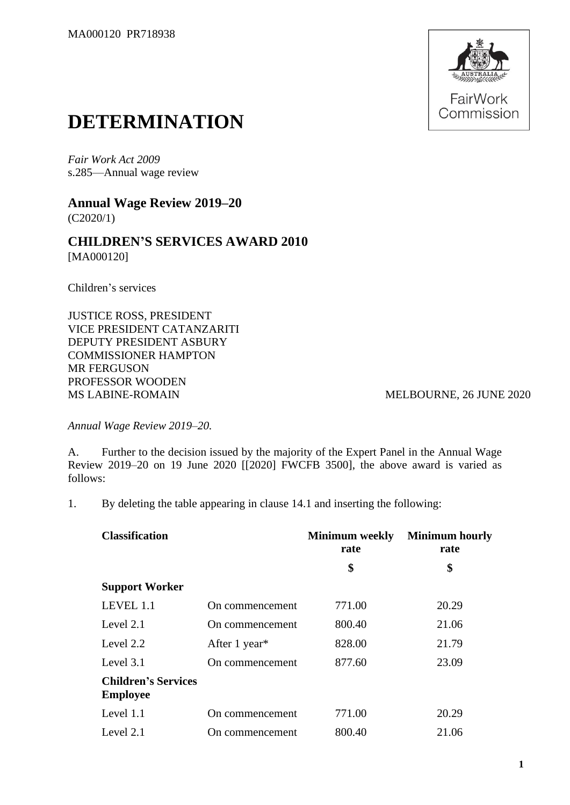

## **DETERMINATION**

*Fair Work Act 2009* s.285—Annual wage review

**Annual Wage Review 2019–20** (C2020/1)

**CHILDREN'S SERVICES AWARD 2010** [MA000120]

Children's services

JUSTICE ROSS, PRESIDENT VICE PRESIDENT CATANZARITI DEPUTY PRESIDENT ASBURY COMMISSIONER HAMPTON MR FERGUSON PROFESSOR WOODEN MS LABINE-ROMAIN MELBOURNE, 26 JUNE 2020

*Annual Wage Review 2019–20.*

A. Further to the decision issued by the majority of the Expert Panel in the Annual Wage Review 2019–20 on 19 June 2020 [[2020] FWCFB 3500], the above award is varied as follows:

1. By deleting the table appearing in clause 14.1 and inserting the following:

| <b>Classification</b>                         |                 | <b>Minimum</b> weekly<br>rate | <b>Minimum hourly</b><br>rate |
|-----------------------------------------------|-----------------|-------------------------------|-------------------------------|
|                                               |                 | \$                            | \$                            |
| <b>Support Worker</b>                         |                 |                               |                               |
| LEVEL 1.1                                     | On commencement | 771.00                        | 20.29                         |
| Level $2.1$                                   | On commencement | 800.40                        | 21.06                         |
| Level 2.2                                     | After 1 year*   | 828.00                        | 21.79                         |
| Level $3.1$                                   | On commencement | 877.60                        | 23.09                         |
| <b>Children's Services</b><br><b>Employee</b> |                 |                               |                               |
| Level 1.1                                     | On commencement | 771.00                        | 20.29                         |
| Level 2.1                                     | On commencement | 800.40                        | 21.06                         |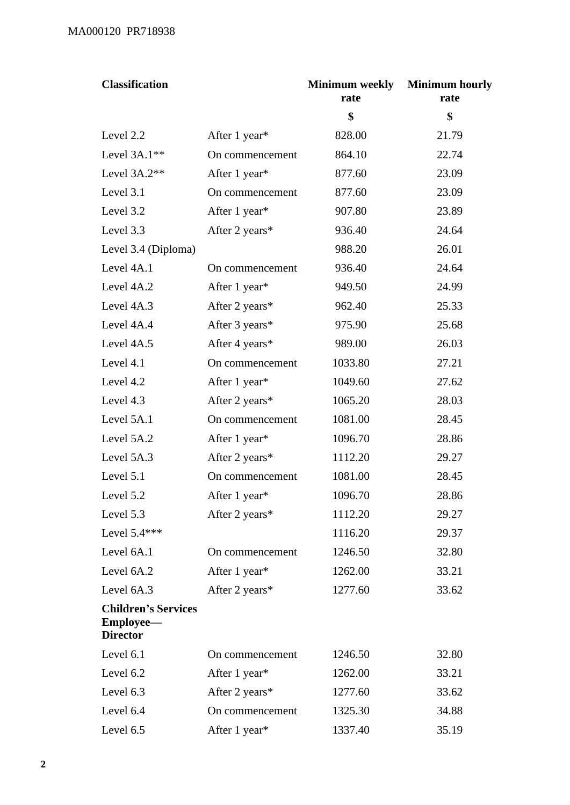| <b>Classification</b>                                      |                 | <b>Minimum weekly</b><br>rate | <b>Minimum hourly</b><br>rate |
|------------------------------------------------------------|-----------------|-------------------------------|-------------------------------|
|                                                            |                 | \$                            | \$                            |
| Level 2.2                                                  | After 1 year*   | 828.00                        | 21.79                         |
| Level $3A.1**$                                             | On commencement | 864.10                        | 22.74                         |
| Level $3A.2**$                                             | After 1 year*   | 877.60                        | 23.09                         |
| Level 3.1                                                  | On commencement | 877.60                        | 23.09                         |
| Level 3.2                                                  | After 1 year*   | 907.80                        | 23.89                         |
| Level 3.3                                                  | After 2 years*  | 936.40                        | 24.64                         |
| Level 3.4 (Diploma)                                        |                 | 988.20                        | 26.01                         |
| Level 4A.1                                                 | On commencement | 936.40                        | 24.64                         |
| Level 4A.2                                                 | After 1 year*   | 949.50                        | 24.99                         |
| Level 4A.3                                                 | After 2 years*  | 962.40                        | 25.33                         |
| Level 4A.4                                                 | After 3 years*  | 975.90                        | 25.68                         |
| Level 4A.5                                                 | After 4 years*  | 989.00                        | 26.03                         |
| Level 4.1                                                  | On commencement | 1033.80                       | 27.21                         |
| Level 4.2                                                  | After 1 year*   | 1049.60                       | 27.62                         |
| Level 4.3                                                  | After 2 years*  | 1065.20                       | 28.03                         |
| Level 5A.1                                                 | On commencement | 1081.00                       | 28.45                         |
| Level 5A.2                                                 | After 1 year*   | 1096.70                       | 28.86                         |
| Level 5A.3                                                 | After 2 years*  | 1112.20                       | 29.27                         |
| Level 5.1                                                  | On commencement | 1081.00                       | 28.45                         |
| Level 5.2                                                  | After 1 year*   | 1096.70                       | 28.86                         |
| Level 5.3                                                  | After 2 years*  | 1112.20                       | 29.27                         |
| Level $5.4***$                                             |                 | 1116.20                       | 29.37                         |
| Level 6A.1                                                 | On commencement | 1246.50                       | 32.80                         |
| Level 6A.2                                                 | After 1 year*   | 1262.00                       | 33.21                         |
| Level 6A.3                                                 | After 2 years*  | 1277.60                       | 33.62                         |
| <b>Children's Services</b><br>Employee-<br><b>Director</b> |                 |                               |                               |
| Level 6.1                                                  | On commencement | 1246.50                       | 32.80                         |
| Level 6.2                                                  | After 1 year*   | 1262.00                       | 33.21                         |
| Level 6.3                                                  | After 2 years*  | 1277.60                       | 33.62                         |
| Level 6.4                                                  | On commencement | 1325.30                       | 34.88                         |
| Level 6.5                                                  | After 1 year*   | 1337.40                       | 35.19                         |